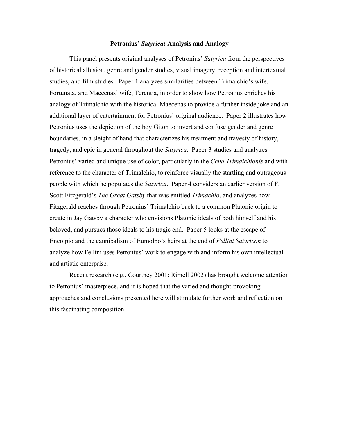## **Petronius'** *Satyrica***: Analysis and Analogy**

This panel presents original analyses of Petronius' *Satyrica* from the perspectives of historical allusion, genre and gender studies, visual imagery, reception and intertextual studies, and film studies. Paper 1 analyzes similarities between Trimalchio's wife, Fortunata, and Maecenas' wife, Terentia, in order to show how Petronius enriches his analogy of Trimalchio with the historical Maecenas to provide a further inside joke and an additional layer of entertainment for Petronius' original audience. Paper 2 illustrates how Petronius uses the depiction of the boy Giton to invert and confuse gender and genre boundaries, in a sleight of hand that characterizes his treatment and travesty of history, tragedy, and epic in general throughout the *Satyrica*. Paper 3 studies and analyzes Petronius' varied and unique use of color, particularly in the *Cena Trimalchionis* and with reference to the character of Trimalchio, to reinforce visually the startling and outrageous people with which he populates the *Satyrica*. Paper 4 considers an earlier version of F. Scott Fitzgerald's *The Great Gatsby* that was entitled *Trimachio*, and analyzes how Fitzgerald reaches through Petronius' Trimalchio back to a common Platonic origin to create in Jay Gatsby a character who envisions Platonic ideals of both himself and his beloved, and pursues those ideals to his tragic end. Paper 5 looks at the escape of Encolpio and the cannibalism of Eumolpo's heirs at the end of *Fellini Satyricon* to analyze how Fellini uses Petronius' work to engage with and inform his own intellectual and artistic enterprise.

Recent research (e.g., Courtney 2001; Rimell 2002) has brought welcome attention to Petronius' masterpiece, and it is hoped that the varied and thought-provoking approaches and conclusions presented here will stimulate further work and reflection on this fascinating composition.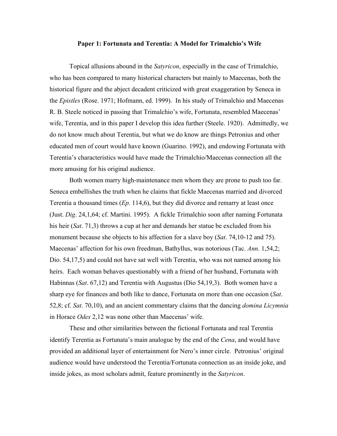#### **Paper 1: Fortunata and Terentia: A Model for Trimalchio's Wife**

Topical allusions abound in the *Satyricon*, especially in the case of Trimalchio, who has been compared to many historical characters but mainly to Maecenas, both the historical figure and the abject decadent criticized with great exaggeration by Seneca in the *Epistles* (Rose. 1971; Hofmann, ed. 1999). In his study of Trimalchio and Maecenas R. B. Steele noticed in passing that Trimalchio's wife, Fortunata, resembled Maecenas' wife, Terentia, and in this paper I develop this idea further (Steele. 1920). Admittedly, we do not know much about Terentia, but what we do know are things Petronius and other educated men of court would have known (Guarino. 1992), and endowing Fortunata with Terentia's characteristics would have made the Trimalchio/Maecenas connection all the more amusing for his original audience.

Both women marry high-maintenance men whom they are prone to push too far. Seneca embellishes the truth when he claims that fickle Maecenas married and divorced Terentia a thousand times (*Ep*. 114,6), but they did divorce and remarry at least once (Just. *Dig*. 24,1,64; cf. Martini. 1995). A fickle Trimalchio soon after naming Fortunata his heir (*Sat*. 71,3) throws a cup at her and demands her statue be excluded from his monument because she objects to his affection for a slave boy (*Sat*. 74,10-12 and 75). Maecenas' affection for his own freedman, Bathyllus, was notorious (Tac. *Ann*. 1,54,2; Dio. 54,17,5) and could not have sat well with Terentia, who was not named among his heirs. Each woman behaves questionably with a friend of her husband, Fortunata with Habinnas (*Sat*. 67,12) and Terentia with Augustus (Dio 54,19,3). Both women have a sharp eye for finances and both like to dance, Fortunata on more than one occasion (*Sat*. 52,8; cf. *Sat*. 70,10), and an ancient commentary claims that the dancing *domina Licymnia* in Horace *Odes* 2,12 was none other than Maecenas' wife.

These and other similarities between the fictional Fortunata and real Terentia identify Terentia as Fortunata's main analogue by the end of the *Cena*, and would have provided an additional layer of entertainment for Nero's inner circle. Petronius' original audience would have understood the Terentia/Fortunata connection as an inside joke, and inside jokes, as most scholars admit, feature prominently in the *Satyricon*.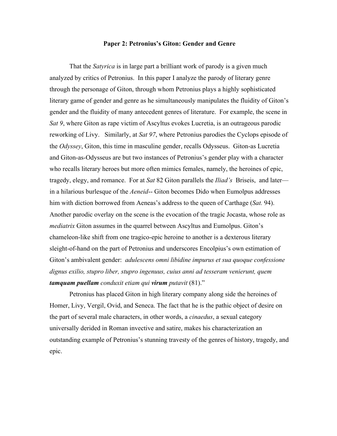### **Paper 2: Petronius's Giton: Gender and Genre**

That the *Satyrica* is in large part a brilliant work of parody is a given much analyzed by critics of Petronius. In this paper I analyze the parody of literary genre through the personage of Giton, through whom Petronius plays a highly sophisticated literary game of gender and genre as he simultaneously manipulates the fluidity of Giton's gender and the fluidity of many antecedent genres of literature. For example, the scene in *Sat 9*, where Giton as rape victim of Ascyltus evokes Lucretia, is an outrageous parodic reworking of Livy. Similarly, at *Sat 97*, where Petronius parodies the Cyclops episode of the *Odyssey*, Giton, this time in masculine gender, recalls Odysseus. Giton-as Lucretia and Giton-as-Odysseus are but two instances of Petronius's gender play with a character who recalls literary heroes but more often mimics females, namely, the heroines of epic, tragedy, elegy, and romance. For at *Sat* 82 Giton parallels the *Iliad's* Briseis, and later in a hilarious burlesque of the *Aeneid*-- Giton becomes Dido when Eumolpus addresses him with diction borrowed from Aeneas's address to the queen of Carthage (*Sat.* 94). Another parodic overlay on the scene is the evocation of the tragic Jocasta, whose role as *mediatrix* Giton assumes in the quarrel between Ascyltus and Eumolpus. Giton's chameleon-like shift from one tragico-epic heroine to another is a dexterous literary sleight-of-hand on the part of Petronius and underscores Encolpius's own estimation of Giton's ambivalent gender: *adulescens omni libidine impurus et sua quoque confessione dignus exilio, stupro liber, stupro ingenuus, cuius anni ad tesseram venierunt, quem tamquam puellam conduxit etiam qui virum putavit* (81)."

Petronius has placed Giton in high literary company along side the heroines of Homer, Livy, Vergil, Ovid, and Seneca. The fact that he is the pathic object of desire on the part of several male characters, in other words, a *cinaedus*, a sexual category universally derided in Roman invective and satire, makes his characterization an outstanding example of Petronius's stunning travesty of the genres of history, tragedy, and epic.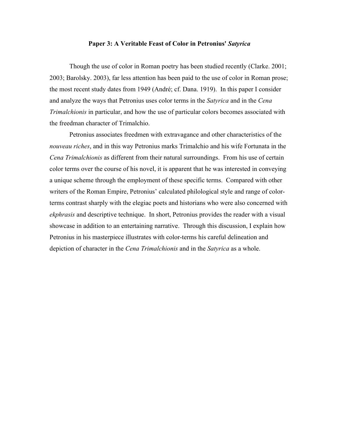#### **Paper 3: A Veritable Feast of Color in Petronius'** *Satyrica*

Though the use of color in Roman poetry has been studied recently (Clarke. 2001; 2003; Barolsky. 2003), far less attention has been paid to the use of color in Roman prose; the most recent study dates from 1949 (André; cf. Dana. 1919). In this paper I consider and analyze the ways that Petronius uses color terms in the *Satyrica* and in the *Cena Trimalchionis* in particular, and how the use of particular colors becomes associated with the freedman character of Trimalchio.

Petronius associates freedmen with extravagance and other characteristics of the *nouveau riches*, and in this way Petronius marks Trimalchio and his wife Fortunata in the *Cena Trimalchionis* as different from their natural surroundings. From his use of certain color terms over the course of his novel, it is apparent that he was interested in conveying a unique scheme through the employment of these specific terms. Compared with other writers of the Roman Empire, Petronius' calculated philological style and range of colorterms contrast sharply with the elegiac poets and historians who were also concerned with *ekphrasis* and descriptive technique. In short, Petronius provides the reader with a visual showcase in addition to an entertaining narrative. Through this discussion, I explain how Petronius in his masterpiece illustrates with color-terms his careful delineation and depiction of character in the *Cena Trimalchionis* and in the *Satyrica* as a whole.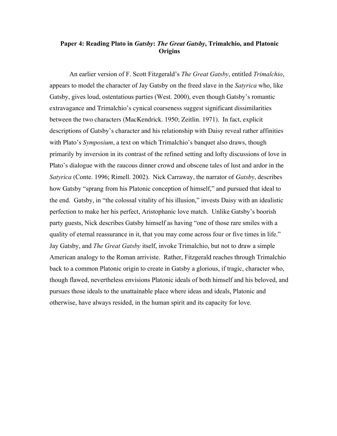# **Paper 4: Reading Plato in** *Gatsby***:** *The Great Gatsby***, Trimalchio, and Platonic Origins**

An earlier version of F. Scott Fitzgerald's *The Great Gatsby*, entitled *Trimalchio*, appears to model the character of Jay Gatsby on the freed slave in the *Satyrica* who, like Gatsby, gives loud, ostentatious parties (West. 2000), even though Gatsby's romantic extravagance and Trimalchio's cynical coarseness suggest significant dissimilarities between the two characters (MacKendrick. 1950; Zeitlin. 1971). In fact, explicit descriptions of Gatsby's character and his relationship with Daisy reveal rather affinities with Plato's *Symposium*, a text on which Trimalchio's banquet also draws, though primarily by inversion in its contrast of the refined setting and lofty discussions of love in Plato's dialogue with the raucous dinner crowd and obscene tales of lust and ardor in the *Satyrica* (Conte. 1996; Rimell. 2002). Nick Carraway, the narrator of *Gatsby*, describes how Gatsby "sprang from his Platonic conception of himself," and pursued that ideal to the end. Gatsby, in "the colossal vitality of his illusion," invests Daisy with an idealistic perfection to make her his perfect, Aristophanic love match. Unlike Gatsby's boorish party guests, Nick describes Gatsby himself as having "one of those rare smiles with a quality of eternal reassurance in it, that you may come across four or five times in life." Jay Gatsby, and *The Great Gatsby* itself, invoke Trimalchio, but not to draw a simple American analogy to the Roman arriviste. Rather, Fitzgerald reaches through Trimalchio back to a common Platonic origin to create in Gatsby a glorious, if tragic, character who, though flawed, nevertheless envisions Platonic ideals of both himself and his beloved, and pursues those ideals to the unattainable place where ideas and ideals, Platonic and otherwise, have always resided, in the human spirit and its capacity for love.